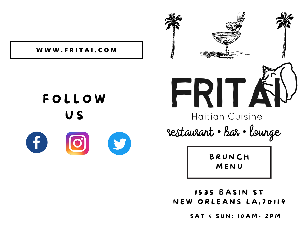

**W W W . F R I T A I . C O M**



**1535 BASIN ST** NEW ORLEANS LA, 70119

SAT & SUN: 10AM- 2PM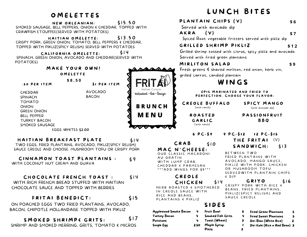### **OMELETTES**

NEW ORLEANIAN: SMOKED SAUSAGE, BELL PEPPERS, ONION & CHEDDAR, TOPPED WITH CRAWFISH ETOUFFEE(SERVED WITH POTATOES)  $515, 50.$ 

HAITIAN OMELETTE: CRISPY PORK, GREEN ONION, TOMATO, BELL PEPPERS & CHEDDAR, TOPPED WITH PIKLIZ(SPICY RELISH) SERVED WITH POTATOES  $$13.50$ 

CALIFORNIA OMELETTE: SPINACH, GREEN ONION, AVOCADO AND CHEDDAR(SERVED WITH POTATOES) \$ 1 4

|                     | MAKE YOUR OWN!     |  |  |  |
|---------------------|--------------------|--|--|--|
| OMELETTE            |                    |  |  |  |
|                     | \$8.50             |  |  |  |
| <b>.50 PER ITEM</b> | SI PER ITEM        |  |  |  |
| CHEDDAR             | AVOCADO            |  |  |  |
| SPINACH             | <b>BACON</b>       |  |  |  |
| <b>TOMATO</b>       |                    |  |  |  |
| <b>ONION</b>        |                    |  |  |  |
| <b>GREEN ONION</b>  |                    |  |  |  |
| <b>BELL PEPPER</b>  |                    |  |  |  |
| <b>TURKEY BACON</b> |                    |  |  |  |
| SMOKED SAUSAGE      |                    |  |  |  |
|                     | EGGS WHITES \$2.00 |  |  |  |

#### HAITIAN BREAKFAST PLATE

TWO EGGS, FRIED PLANTAINS, AVOCADO, PIKLIZ(SPICY RELISH) SAUCE CREOLE AND CHOOSE: MUSHROOM TOFU OR CRISPY PORK

#### CINNAMON TOAST PLANTAINS : \$ 9

WITH COCONUT NUT CREAM AND GUAVA

#### CHOCOLATE FRENCH TOAST : \$14

WITH RICH FRENCH BREAD STUFFED WITH HAITIAN CHOCOLATE SAUCE AND TOPPED WITH BERRIES

#### FRITAI BENEDICT:

 $515$ 

\$ 1 4

**B R U N C H**

restaurant • Bar • lounge

Single Egg

**M E N U**

ON POACHED EGGS TWO FRIED PLANTAINS, AVOCADO, BACON, CHIPOTLE HOLLANDAISE TOPPED WITH PIKLIZ

SMOKED SHRIMP& GRITS: SHRIMP AND SMOKED HERRING, GRITS, TOMATO & MICROS  $517$ 

# LUNCH BITES

| PLANTAIN CHIPS (V)      | S 6 |
|-------------------------|-----|
| Sanyad with gyarada din |     |

Served with avocado dip

 $AKRA$   $(V)$ 

Spiced Root vegetable fritters served with pikliz dip

#### GRILLED SHRIMP PIKLIZ

Grilled shrimp tossed with citrus, spicy pikliz and avocado. Served with fried green plantains

#### **MIRLITON SALAD**

Fresh greens & shaved mirliton, red onion, herb vin, grilled carrot, candied plantain

## WINGS

EPIS MARINATED AND FRIED TO PERFECTION. CHOOSE YOUR FLAVOR:

CREOLE BUFFALO

SPICY MANGO (with avocado dip)

\$ 1 3

**\$ 9**

**\$ 1 2**

**\$ 7**

(with ranch) R O A S T E D G A R L I C

#### **PASSIONFRUIT** B B Q

THE FRITAI  $(V)$ 

9 PC-512 12 PC-515

 $6$  P C  $-59$ 

#### C R A B \$ 1 0

M A C N **'** C H E E S E : OUR CLASSIC MACARONI

AU GRATIN WITH LUMP CRAB, CHEDDAR & PARMESAN \*\*\* ADD WINGS FOR \$5\*\*\*

#### C R E O L E CHICKEN \$14

HERB ROASTED & SMOTHERED IN CREOLE SAUCE WITH RICE AND BEANS, PLANTAINS & PIKLIZ

### S I D E S

Fried Green Plantains 5 Fried Sweet Plantains 5 Diri Blan (White Rice) 2 Diri Kole (Rice n Red Bean) 3 Pikliz 3 Applewood Smoke Bacon 4 Turkey Bacon 4 Potatoes 4 Fruit Bowl 6 Smoked Fish Grits. 4 Toast (Wheat) 3 2.50 Maple Syrup. 1

BETWEEN TWO FRIED PLANTAINS WITH AVOCADO, MANGO SAUCE, PIKLIZ WITH PORK, CHICKEN S A N D W I C H :

OR MUSHROOM TOFU SERVEDWITH PLANTAIN CHIPS & D I P

#### $G$  RIYO  $516$

CRISPY PORK WITH RICE & BEANS, FRIED PLANTAINS, PIKLIZ (SPICY RELISH) AND SAUCE CREOLE